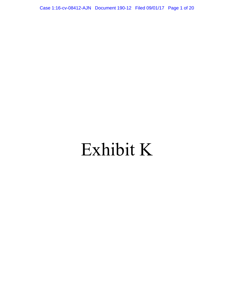Case 1:16-cv-08412-AJN Document 190-12 Filed 09/01/17 Page 1 of 20

# Exhibit K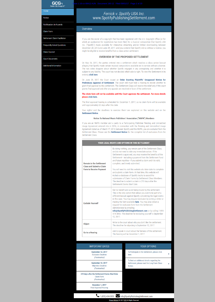**GCG<sub>3</sub>** Garden City Group, LLC"

**Notice** 

Home

Notificacion de Acuerdo

**Claim Form** 

Settlement Claim Facilitator

**Frequently Asked Questions** 

**Class Counsel** 

**Court Documents** 

**Additional Information** 

# Ferrick v. Spotify USA Inc.<br>www.SpotifyPublishingSettlement.com

### Overview

If you are the owner of a copyright that has been registered with the U.S. Copyright Office (or for which an application for registration has been filed) for a musical composition that Spotify USA Inc. ("Spotify") made available for interactive streaming and/or limited downloading between December 28, 2012 and June 29, 2017, and you contend that Spotify did so without a license, you might be eligible to receive benefits from a class action settlement.

## **OVERVIEW OF THE PROPOSED SETTLEMENT**

On May 26, 2017, the parties entered into a settlement which resolves a class action lawsuit alleging that Spotify made certain musical compositions available on its service without a license. The two sides disagree about whether Spotify engaged in any wrongdoing and whether it is subject to any liability. The court has not decided which side is right. To view the Settlement in its entirety click here.

On June 29, 2017 the Court issued an Order Granting Plaintiffs' Unopposed Motion for Preliminary Approval of Settlement. The court still must hold a hearing to decide whether to grant final approval to this settlement. The Settlement Class will receive the relief only if the court grants final approval and after any appeals are resolved in favor of the settlement.

#### The claim form will not be available until the Court approves the settlement. For more details please click here.

The final approval hearing is scheduled for December 1, 2017, so no claim form will be available until approximately 60 days after this date.

Your rights-and the deadlines to exercise them-are explained on this website and on the **Settlement Notice.** 

#### **Notice To National Music Publishers' Association ("NMPA") Members**

If you are an NMPA member and a party to a Participating Publisher Pending and Unmatched Usage Agreement entered into in 2016, in connection with the Pending and Unmatched Usage Agreement dated as of March 17, 2016 between Spotify and the NMPA, you are excluded from the Settlement Class. Please see the Settlement Notice for the complete list of exclusions from the Settlement Class.

#### YOUR LEGAL RIGHTS AND OPTIONS IN THIS SETTLEMENT

By doing nothing, you remain part of the Settlement Class, and do not need to take any immediate action. If the Settlement is approved, you may receive the benefits of the

| <b>Remain in the Settlement</b><br><b>Class and Submit a Claim</b> | Settlement-including a payment from the Settlement Fund<br>and future royalties-if you submit a claim and it is valid,<br>complete, and timely submitted.                                                                                                                                                                                                                                                                                                                                                                                   |
|--------------------------------------------------------------------|---------------------------------------------------------------------------------------------------------------------------------------------------------------------------------------------------------------------------------------------------------------------------------------------------------------------------------------------------------------------------------------------------------------------------------------------------------------------------------------------------------------------------------------------|
| <b>Form to Receive Payment</b>                                     | You will need to visit this website at a later date to complete<br>and submit a claim form. At that time, this website will<br>include a database of Spotify tracks to assist the<br>submission of Claim Forms by Settlement Class Members.<br>The deadline to submit a claim is 210 days after the<br>Settlement Claims Start Date.                                                                                                                                                                                                        |
| <b>Exclude Yourself</b>                                            | Get no benefit and avoid being bound by the settlement.<br>This is the only option that allows you ever to be part of a<br>different lawsuit against Spotify concerning the legal claims<br>in this case. You may request exclusion by writing a letter or<br>mailing the form available here. You may also obtain a<br>request for exclusion form from the Settlement<br>Administrator by emailing<br>info@SpotifyPublishingSettlement.com or by calling 1-855-<br>474-3853. The deadline for excluding yourself is September<br>12, 2017. |
| <b>Object</b>                                                      | Write to the court about why you don't like the settlement.<br>The deadline for objecting is September 12, 2017.                                                                                                                                                                                                                                                                                                                                                                                                                            |
| <b>Go to a Hearing</b>                                             | Ask to speak in court about the fairness of the settlement.<br>The hearing will be December 1, 2017.                                                                                                                                                                                                                                                                                                                                                                                                                                        |

| <b>IMPORTANT DATES</b>                                                               | <b>YOUR OPTIONS</b>                                                                                    |  |
|--------------------------------------------------------------------------------------|--------------------------------------------------------------------------------------------------------|--|
| <b>September 12, 2017</b><br><b>Exclusion Deadline</b><br>(Postmarked)               | To Participate in the Settlement, please click<br>here.                                                |  |
| <b>September 12, 2017</b><br><b>Objection Deadline</b><br>(Postmarked)               | To find out additional details regarding the<br>Settlement, please read the Long Form Class<br>Notice. |  |
| 210 days after the Settlement Claims Start Date<br><b>Claim Form</b><br>(Postmarked) |                                                                                                        |  |
| December 1, 2017<br><b>Final Approval Hearing</b>                                    |                                                                                                        |  |
|                                                                                      | 1 (855) 474-3853 info@SpotifyPublishingSettlement.com                                                  |  |
|                                                                                      | Privacy Notice   @ 2017 GCG All Rights Reserved                                                        |  |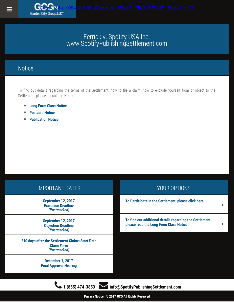## **Notice**

To find out details regarding the terms of the Settlement, how to file a claim, how to exclude yourself from or object to the Settlement, please consult the Notice.

- **[Long Form Class Notice](http://www.spotifypublishingsettlement.com/docs/LFN.pdf)**  $\bullet$
- $\bullet$ **[Postcard Notice](http://www.spotifypublishingsettlement.com/docs/Notice_postcard.pdf)**
- **[Publication Notice](http://www.spotifypublishingsettlement.com/docs/FRK_Master.pdf)**  $\bullet$

| <b>IMPORTANT DATES</b>                                                               | YOUR OPTIONS                                                                                        |   |
|--------------------------------------------------------------------------------------|-----------------------------------------------------------------------------------------------------|---|
| <b>September 12, 2017</b><br><b>Exclusion Deadline</b><br>(Postmarked)               | To Participate in the Settlement, please click here.                                                | ▶ |
| <b>September 12, 2017</b><br><b>Objection Deadline</b><br>(Postmarked)               | To find out additional details regarding the Settlement,<br>please read the Long Form Class Notice. | ▶ |
| 210 days after the Settlement Claims Start Date<br><b>Claim Form</b><br>(Postmarked) |                                                                                                     |   |
| December 1, 2017<br><b>Final Approval Hearing</b>                                    |                                                                                                     |   |
| $(855)$ 474-3853                                                                     | info@SpotifyPublishingSettlement.com                                                                |   |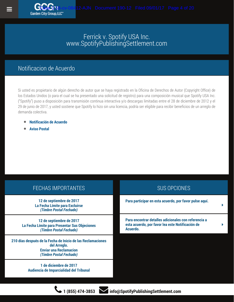### Notificacion de Acuerdo

Garden City Group, LLC

Si usted es propietario de algún derecho de autor que se haya registrado en la Oficina de Derechos de Autor (Copyright Office) de los Estados Unidos (o para el cual se ha presentado una solicitud de registro) para una composición musical que Spotify USA Inc. ("Spotify") puso a disposición para transmisión continua interactiva y/o descargas limitadas entre el 28 de diciembre de 2012 y el 29 de junio de 2017, y usted sostiene que Spotify lo hizo sin una licencia, podría ser eligible para recibir beneficios de un arreglo de demanda colectiva.

- **[Notificación de Acuerdo](http://www.spotifypublishingsettlement.com/docs/LFN_ES.pdf)**
- **[Aviso Postal](http://www.spotifypublishingsettlement.com/docs/es_postcard.pdf)**

| <b>FECHAS IMPORTANTES</b>                                                                                                               | <b>SUS OPCIONES</b>                                                                                                  |
|-----------------------------------------------------------------------------------------------------------------------------------------|----------------------------------------------------------------------------------------------------------------------|
| 12 de septiembre de 2017<br>La Fecha Límite para Excluirse<br>(Timbre Postal Fechado)                                                   | Para participar en esta acuerdo, por favor pulse aquí.                                                               |
| 12 de septiembre de 2017<br>La Fecha Límite para Presentar Sus Objeciones<br>(Timbre Postal Fechado)                                    | Para encontrar detalles adicionales con referencia a<br>esta acuerdo, por favor lea este Notificación de<br>Acuerdo. |
| 210 días después de la Fecha de Inicio de las Reclamaciones<br>del Arreglo.<br><b>Enviar una Reclamacion</b><br>(Timbre Postal Fechado) |                                                                                                                      |
| 1 de diciembre de 2017<br>Audiencia de Imparcialidad del Tribunal                                                                       |                                                                                                                      |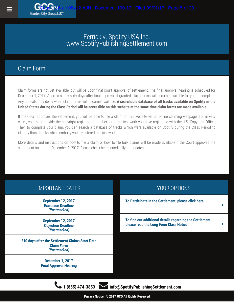### Claim Form

**Garden City Group LLC** 

Claim forms are not yet available, but will be upon final Court approval of settlement. The final approval hearing is scheduled for December 1, 2017. Approximately sixty days after final approval, if granted, claim forms will become available for you to complete. Any appeals may delay when claim forms will become available. **A searchable database of all tracks available on Spotify in the United States during the Class Period will be accessible on this website at the same time claim forms are made available.**

If the Court approves the settlement, you will be able to file a claim on this website via an online claiming webpage. To make a claim, you must provide the copyright registration number for a musical work you have registered with the U.S. Copyright Office. Then to complete your claim, you can search a database of tracks which were available on Spotify during the Class Period to identify those tracks which embody your registered musical work.

More details and instructions on how to file a claim or how to file bulk claims will be made available if the Court approves the settlement on or after December 1, 2017. Please check here periodically for updates.

| <b>IMPORTANT DATES</b>                                                               | YOUR OPTIONS                                                                                        |  |
|--------------------------------------------------------------------------------------|-----------------------------------------------------------------------------------------------------|--|
| <b>September 12, 2017</b><br><b>Exclusion Deadline</b><br>(Postmarked)               | To Participate in the Settlement, please click here.                                                |  |
| <b>September 12, 2017</b><br><b>Objection Deadline</b><br>(Postmarked)               | To find out additional details regarding the Settlement,<br>please read the Long Form Class Notice. |  |
| 210 days after the Settlement Claims Start Date<br><b>Claim Form</b><br>(Postmarked) |                                                                                                     |  |
| December 1, 2017<br><b>Final Approval Hearing</b>                                    |                                                                                                     |  |
| 1 (855) 474-3853<br>info@SpotifyPublishingSettlement.com                             |                                                                                                     |  |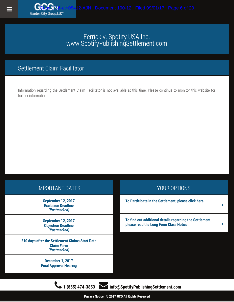## Settlement Claim Facilitator

Garden City Group, LLC"

Information regarding the Settlement Claim Facilitator is not available at this time. Please continue to monitor this website for further information.

| <b>IMPORTANT DATES</b>                                                               | YOUR OPTIONS                                                                                        |   |
|--------------------------------------------------------------------------------------|-----------------------------------------------------------------------------------------------------|---|
| <b>September 12, 2017</b><br><b>Exclusion Deadline</b><br>(Postmarked)               | To Participate in the Settlement, please click here.                                                | ь |
| <b>September 12, 2017</b><br><b>Objection Deadline</b><br>(Postmarked)               | To find out additional details regarding the Settlement,<br>please read the Long Form Class Notice. |   |
| 210 days after the Settlement Claims Start Date<br><b>Claim Form</b><br>(Postmarked) |                                                                                                     |   |
| <b>December 1, 2017</b><br><b>Final Approval Hearing</b>                             |                                                                                                     |   |
|                                                                                      |                                                                                                     |   |
| info@SpotifyPublishingSettlement.com<br>$(855)$ 474-3853                             |                                                                                                     |   |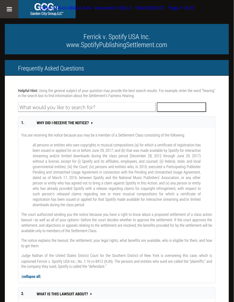## Frequently Asked Questions

**Helpful Hint:** Using the general subject of your question may provide the best search results. For example, enter the word "hearing" in the search box to find information about the Settlement's Fairness Hearing.

What would you like to search for?

#### **1. WHY DID I RECEIVE THE NOTICE?**

You are receiving the notice because you may be a member of a Settlement Class consisting of the following:

all persons or entities who own copyrights in musical compositions (a) for which a certificate of registration has been issued or applied for on or before June 29, 2017; and (b) that was made available by Spotify for interactive streaming and/or limited downloads during the class period (December 28, 2012 through June 29, 2017) without a license, except for (i) Spotify and its affiliates, employees, and counsel; (ii) federal, state, and local governmental entities; (iii) the Court; (iv) persons and entities who, in 2016, executed a Participating Publisher Pending and Unmatched Usage Agreement in connection with the Pending and Unmatched Usage Agreement, dated as of March 17, 2016, between Spotify and the National Music Publishers' Association, or any other person or entity who has agreed not to bring a claim against Spotify in this Action; and (v) any person or entity who has already provided Spotify with a release regarding claims for copyright infringement, with respect to such person's released claims regarding one or more musical compositions for which a certificate of registration has been issued or applied for that Spotify made available for interactive streaming and/or limited downloads during the class period.

The court authorized sending you the notice because you have a right to know about a proposed settlement of a class action lawsuit—as well as all of your options—before the court decides whether to approve the settlement. If the court approves the settlement, and objections or appeals relating to the settlement are resolved, the benefits provided for by the settlement will be available only to members of the Settlement Class.

The notice explains the lawsuit, the settlement, your legal rights, what benefits are available, who is eligible for them, and how to get them.

Judge Nathan of the United States District Court for the Southern District of New York is overseeing this case, which is captioned Ferrick v. Spotify USA Inc., No. 1:16-cv-8412 (AJN). The persons and entities who sued are called the "plaintiffs," and the company they sued, Spotify is called the "defendant."

#### (**collapse all**)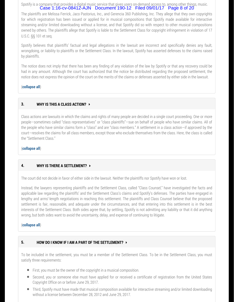Spotify is a company that provides a digital music service that gives users on-demand access to, among other things, music. Case 1:16-cv-08412-AJN Document 190-12 Filed 09/01/17 Page 8 of 20

The plaintiffs are Melissa Ferrick, Jaco Pastorius, Inc., and Gerencia 360 Publishing, Inc. They allege that they own copyrights for which registration has been issued or applied for in musical compositions that Spotify made available for interactive streaming and/or limited downloading without a license, and that Spotify did so with respect to other musical compositions owned by others. The plaintiffs allege that Spotify is liable to the Settlement Class for copyright infringement in violation of 17 U.S.C. §§ 101 et seq.

Spotify believes that plaintiffs' factual and legal allegations in the lawsuit are incorrect and specifically denies any fault, wrongdoing, or liability to plaintiffs or the Settlement Class. In the lawsuit, Spotify has asserted defenses to the claims raised by plaintiffs.

The notice does not imply that there has been any finding of any violation of the law by Spotify or that any recovery could be had in any amount. Although the court has authorized that the notice be distributed regarding the proposed settlement, the notice does not express the opinion of the court on the merits of the claims or defenses asserted by either side in the lawsuit.

#### (**collapse all**)

#### **3. WHY IS THIS A CLASS ACTION?**

Class actions are lawsuits in which the claims and rights of many people are decided in a single court proceeding. One or more people—sometimes called "class representatives" or "class plaintiffs"—sue on behalf of people who have similar claims. All of the people who have similar claims form a "class" and are "class members." A settlement in a class action—if approved by the court—resolves the claims for all class members, except those who exclude themselves from the class. Here, the class is called the "Settlement Class."

#### (**collapse all**)

#### **4. WHY IS THERE A SETTLEMENT?**

The court did not decide in favor of either side in the lawsuit. Neither the plaintiffs nor Spotify have won or lost.

Instead, the lawyers representing plaintiffs and the Settlement Class, called "Class Counsel," have investigated the facts and applicable law regarding the plaintiffs' and the Settlement Class's claims and Spotify's defenses. The parties have engaged in lengthy and arms'-length negotiations in reaching this settlement. The plaintiffs and Class Counsel believe that the proposed settlement is fair, reasonable, and adequate under the circumstances, and that entering into this settlement is in the best interests of the Settlement Class. Both sides agree that, by settling, Spotify is not admitting any liability or that it did anything wrong, but both sides want to avoid the uncertainty, delay, and expense of continuing to litigate.

#### (**collapse all**)

#### **5. HOW DO I KNOW IF I AM A PART OF THE SETTLEMENT?**

To be included in the settlement, you must be a member of the Settlement Class. To be in the Settlement Class, you must satisfy three requirements:

- First, you must be the owner of the copyright in a musical composition.
- Second, you or someone else must have applied for or received a certificate of registration from the United States Copyright Office on or before June 29, 2017.
- Third, Spotify must have made that musical composition available for interactive streaming and/or limited downloading without a license between December 28, 2012 and June 29, 2017.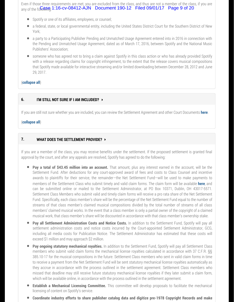Even if those three requirements are met, you are excluded from the class, and thus are not a member of the class, if you are any of the for  $\bigcap_{n=1}^{\infty}$  (1:16-cv-08412-AJN Document 190-12 Filed 09/01/17 Page 9 of 20

- Spotify or one of its affiliates, employees, or counsel;
- a federal, state, or local governmental entity, including the United States District Court for the Southern District of New York;
- a party to a Participating Publisher Pending and Unmatched Usage Agreement entered into in 2016 in connection with the Pending and Unmatched Usage Agreement, dated as of March 17, 2016, between Spotify and the National Music Publishers' Association;
- someone who has agreed not to bring a claim against Spotify in this class action or who has already provided Spotify with a release regarding claims for copyright infringement, to the extent that the release covers musical compositions that Spotify made available for interactive streaming and/or limited downloading between December 28, 2012 and June 29, 2017.

#### (**collapse all**)

#### **6. I'M STILL NOT SURE IF I AM INCLUDED?**

If you are still not sure whether you are included, you can review the Settlement Agreement and other Court Documents **[here](http://frk.gcg-dev.net/courtdocs.php)**.

#### (**collapse all**)

#### **7. WHAT DOES THE SETTLEMENT PROVIDE?**

If you are a member of the class, you may receive benefits under the settlement. If the proposed settlement is granted final approval by the court, and after any appeals are resolved, Spotify has agreed to do the following:

- **Pay a total of \$43.45 million into an account.** That amount, plus any interest earned in the account, will be the Settlement Fund. After deductions for any court-approved award of fees and costs to Class Counsel and incentive awards to plaintiffs for their service, the remainder—the Net Settlement Fund—will be used to make payments to members of the Settlement Class who submit timely and valid claim forms. The claim form will be available **[here](http://frk.gcg-dev.net/poc)**, and can be submitted online or mailed to the Settlement Administrator, at PO Box 10371, Dublin, OH 43017-5571. Settlement Class Members who submit valid and timely claim forms will receive a pro rata share of the Net Settlement Fund. Specifically, each class member's share will be the percentage of the Net Settlement Fund equal to the number of streams of that class member's claimed musical compositions divided by the total number of streams of all class members' claimed musical works. In the event that a class member is only a partial owner of the copyright of a claimed musical work, that class member's share will be discounted in accordance with that class member's ownership stake.
- **Pay all Settlement Administration Costs and Notice Costs.** In addition to the Settlement Fund, Spotify will pay all settlement administration costs and notice costs incurred by the Court-appointed Settlement Administrator, GCG, including all media costs for Publication Notice. The Settlement Administrator has estimated that these costs will exceed \$1 million and may approach \$2 million.
- **Pay ongoing statutory mechanical royalties.** In addition to the Settlement Fund, Spotify will pay all Settlement Class members who submit valid claim forms the mechanical license royalties calculated in accordance with 37 C.F.R. §§ 385.10-17 for the musical compositions in the future. Settlement Class members who sent in valid claim forms in time to receive a payment from the Net Settlement Fund will be sent statutory mechanical license royalties automatically as they accrue in accordance with the process outlined in the settlement agreement. Settlement Class members who missed that deadline may still receive future statutory mechanical license royalties if they later submit a claim form, which will be available online, in accordance with the process outlined in the settlement agreement.
- **Establish a Mechanical Licensing Committee.** This committee will develop proposals to facilitate the mechanical licensing of content on Spotify's service.
- **Coordinate industry efforts to share publisher catalog data and digitize pre-1978 Copyright Records and make**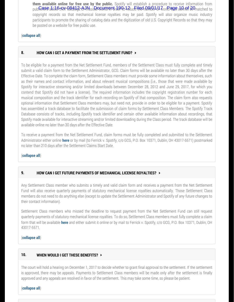**them available online for free use by the public.** Spotify will establish a procedure to receive information from publishere abouptisen-084133-6Nhusidal works that de 9612 Jude illed number 41 vorks als te den of Be matched to copyright records so that mechanical license royalties may be paid. Spotify will also organize music industry participants to promote the sharing of catalog data and the digitization of old U.S. Copyright Records so that they may be posted on a website for free public use.

#### (**collapse all**)

#### **8. HOW CAN I GET A PAYMENT FROM THE SETTLEMENT FUND?**

To be eligible for a payment from the Net Settlement Fund, members of the Settlement Class must fully complete and timely submit a valid claim form to the Settlement Administrator, GCG. Claim forms will be available no later than 30 days after the Effective Date. To complete the claim form, Settlement Class members must provide some information about themselves, such as their names and contact information, and about relevant musical compositions (i.e., those that were made available by Spotify for interactive streaming and/or limited downloads between December 28, 2012 and June 29, 2017, for which you contend that Spotify did not have a license). The required information includes the copyright registration number for each musical composition and the track identifier for each recording on Spotify of that composition. The claim form also requests optional information that Settlement Class members may, but need not, provide in order to be eligible for a payment. Spotify has assembled a track database to facilitate the submission of claim forms by Settlement Class Members. The Spotify Track Database consists of tracks, including Spotify track identifier and certain other available information about recordings, that Spotify made available for interactive streaming and/or limited downloading during the Class period. The track database will be available online no later than 30 days after the Effective Date.

To receive a payment from the Net Settlement Fund, claim forms must be fully completed and submitted to the Settlement Administrator either online **[here](http://frk.gcg-dev.net/poc)** or by mail (to Ferrick v. Spotify, c/o GCG, P.O. Box 10371, Dublin, OH 43017-5571) postmarked no later than 210 days after the Settlement Claims Start Date.

#### (**collapse all**)

#### **9. HOW CAN I GET FUTURE PAYMENTS OF MECHANICAL LICENSE ROYALTIES?**

Any Settlement Class member who submits a timely and valid claim form and receives a payment from the Net Settlement Fund will also receive quarterly payments of statutory mechanical license royalties automatically. Those Settlement Class members do not need to do anything else (except to update the Settlement Administrator and Spotify of any future changes to their contact information).

Settlement Class members who missed the deadline to request payment from the Net Settlement Fund can still request quarterly payments of statutory mechanical license royalties. To do so, Settlement Class members must fully complete a claim form that will be available **[here](http://frk.gcg-dev.net/poc)** and either submit it online or by mail to Ferrick v. Spotify, c/o GCG, P.O. Box 10371, Dublin, OH 43017-5571.

#### (**collapse all**)

#### **10. WHEN WOULD I GET THESE BENEFITS?**

The court will hold a hearing on December 1, 2017 to decide whether to grant final approval to the settlement. If the settlement is approved, there may be appeals. Payments to Settlement Class members will be made only after the settlement is finally approved and any appeals are resolved in favor of the settlement. This may take some time, so please be patient.

#### (**collapse all**)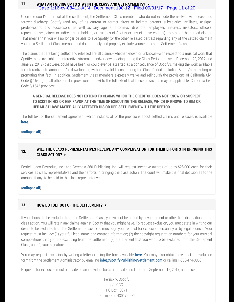#### **11. WHAT AM I GIVING UP TO STAY IN THE CLASS AND GET PAYMENTS?** Case 1:16-cv-08412-AJN Document 190-12 Filed 09/01/17 Page 11 of 20

Upon the court's approval of the settlement, the Settlement Class members who do not exclude themselves will release and forever discharge Spotify (and any of its current or former direct or indirect parents, subsidiaries, affiliates, assigns, predecessors, and successors, as well as any agents, attorneys, directors, employees, insurers, investors, officers, representatives, direct or indirect shareholders, or trustees of Spotify or any of those entities) from all of the settled claims. That means that you will no longer be able to sue Spotify (or the other released parties) regarding any of the settled claims if you are a Settlement Class member and do not timely and properly exclude yourself from the Settlement Class.

The claims that are being settled and released are all claims—whether known or unknown—with respect to a musical work that Spotify made available for interactive streaming and/or downloading during the Class Period (between December 28, 2012 and June 29, 2017) that were, could have been, or could ever be asserted as a consequence of Spotify's making the work available for interactive streaming and/or downloading without a valid license during the Class Period, including Spotify's marketing or promoting that fact. In addition, Settlement Class members expressly waive and relinquish the provisions of California Civil Code § 1542 (and all other similar provisions of law) to the full extent that these provisions may be applicable. California Civil Code § 1542 provides:

#### **A GENERAL RELEASE DOES NOT EXTEND TO CLAIMS WHICH THE CREDITOR DOES NOT KNOW OR SUSPECT TO EXIST IN HIS OR HER FAVOR AT THE TIME OF EXECUTING THE RELEASE, WHICH IF KNOWN TO HIM OR HER MUST HAVE MATERIALLY AFFECTED HIS OR HER SETTLEMENT WITH THE DEBTOR.**

The full text of the settlement agreement, which includes all of the provisions about settled claims and releases, is available **[here](http://frk.gcg-dev.net/courtdocs.php)**.

#### (**collapse all**)

#### **12. WILL THE CLASS REPRESENTATIVES RECEIVE ANY COMPENSATION FOR THEIR EFFORTS IN BRINGING THIS CLASS ACTION?**

Ferrick; Jaco Pastorius, Inc.; and Gerencia 360 Publishing, Inc. will request incentive awards of up to \$25,000 each for their services as class representatives and their efforts in bringing the class action. The court will make the final decision as to the amount, if any, to be paid to the class representatives

#### (**collapse all**)

#### **13. HOW DO I GET OUT OF THE SETTLEMENT?**

If you choose to be excluded from the Settlement Class, you will not be bound by any judgment or other final disposition of this class action. You will retain any claims against Spotify that you might have. To request exclusion, you must state in writing our desire to be excluded from the Settlement Class. You must sign your request for exclusion personally or by legal counsel. Your request must include: (1) your full legal name and contact information; (2) the copyright registration numbers for your musical compositions that you are excluding from the settlement; (3) a statement that you want to be excluded from the Settlement Class; and (4) your signature.

You may request exclusion by writing a letter or using the form available **[here](http://frk.gcg-dev.net/docs/Exclusion Form.pdf)**. You may also obtain a request for exclusion form from the Settlement Administrator by emailing **[info@SpotifyPublishingSettlement.com](mailto:info@SpotifyPublishingSettlement.com)** or calling 1-855-474-3853.

Requests for exclusion must be made on an individual basis and mailed no later than September 12, 2017, addressed to:

Ferrick v. Spotify c/o GCG PO Box 10371 Dublin, Ohio 43017-5571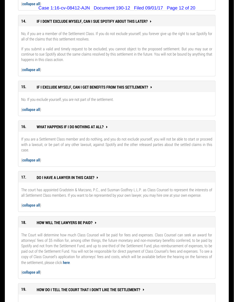(**collapse all**) Case 1:16-cv-08412-AJN Document 190-12 Filed 09/01/17 Page 12 of 20

#### **14. IF I DON'T EXCLUDE MYSELF, CAN I SUE SPOTIFY ABOUT THIS LATER?**

No, if you are a member of the Settlement Class. If you do not exclude yourself, you forever give up the right to sue Spotify for all of the claims that this settlement resolves.

If you submit a valid and timely request to be excluded, you cannot object to the proposed settlement. But you may sue or continue to sue Spotify about the same claims resolved by this settlement in the future. You will not be bound by anything that happens in this class action.

#### (**collapse all**)

#### **15. IF I EXCLUDE MYSELF, CAN I GET BENEFITS FROM THIS SETTLEMENT?**

No. If you exclude yourself, you are not part of the settlement.

#### (**collapse all**)

#### **16. WHAT HAPPENS IF I DO NOTHING AT ALL?**

If you are a Settlement Class member and do nothing, and you do not exclude yourself, you will not be able to start or proceed with a lawsuit, or be part of any other lawsuit, against Spotify and the other released parties about the settled claims in this case.

#### (**collapse all**)

#### **17. DO I HAVE A LAWYER IN THIS CASE?**

The court has appointed Gradstein & Marzano, P.C., and Susman Godfrey L.L.P. as Class Counsel to represent the interests of all Settlement Class members. If you want to be represented by your own lawyer, you may hire one at your own expense.

#### (**collapse all**)

#### **18. HOW WILL THE LAWYERS BE PAID?**

The Court will determine how much Class Counsel will be paid for fees and expenses. Class Counsel can seek an award for attorneys' fees of \$5 million for, among other things, the future monetary and non-monetary benefits conferred, to be paid by Spotify and not from the Settlement Fund, and up to one-third of the Settlement Fund, plus reimbursement of expenses, to be paid out of the Settlement Fund. You will not be responsible for direct payment of Class Counsel's fees and expenses. To see a copy of Class Counsel's application for attorneys' fees and costs, which will be available before the hearing on the fairness of the settlement, please click **[here](http://frk.gcg-dev.net/courtdocs)**.

#### (**collapse all**)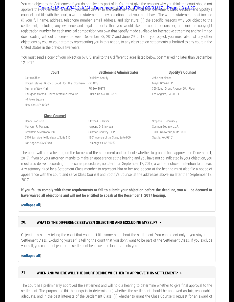You can object to the Settlement if you do not like any part of it. You must give the reasons why you think the court should not approve the Sanement 676Vth8t1 yar And Nder Rectument 190-12 administrator, Settlement enges Launse 29 ad Spotify's counsel, and file with the court, a written statement of any objections that you might have. The written statement must include (i) your full name, address, telephone number, email address, and signature; (ii) the specific reasons why you object to the settlement, including any evidence and legal authority that you would like the court to consider; and (iii) the copyright registration number for each musical composition you own that Spotify made available for interactive streaming and/or limited downloading without a license between December 28, 2012 and June 29, 2017. If you object, you must also list any other objections by you, or your attorney representing you in this action, to any class action settlements submitted to any court in the United States in the previous five years.

You must send a copy of your objection by U.S. mail to the 6 different places listed below, postmarked no later than September 12, 2017.

| <b>Court</b>                                  | <b>Settlement Administrator</b> | <b>Spotify's Counsel</b>           |
|-----------------------------------------------|---------------------------------|------------------------------------|
| Clerk's Office                                | Ferrick v. Spotify              | John Nadolenco                     |
| United States District Court for the Southern | c/o GCG                         | Mayer Brown LLP                    |
| District of New York                          | PO Box 10371                    | 350 South Grand Avenue, 25th Floor |
| Thurgood Marshall United States Courthouse    | Dublin, Ohio 43017-5571         | Los Angeles, CA 90071              |
| 40 Foley Square                               |                                 |                                    |
| New York, NY 10007                            |                                 |                                    |
|                                               |                                 |                                    |
| <b>Class Counsel</b>                          |                                 |                                    |
| Henry Gradstein                               | Steven G. Sklaver               | Stephen E. Morrissey               |
| Marvann R. Marzano                            | Kalpana D. Sriniyasan           | Susman Godfrey L.L.P.              |

Susman Godfrey L.L.P.

Los Angeles, CA 90048 Los Angeles, CA 90067 The court will hold a hearing on the fairness of the settlement and to decide whether to grant it final approval on December 1, 2017. If you or your attorney intends to make an appearance at the hearing and you have not so indicated in your objection, you must also deliver, according to the same procedures, no later than September 12, 2017, a written notice of intention to appear. Any attorney hired by a Settlement Class member to represent him or her and appear at the hearing must also file a notice of appearance with the court, and serve Class Counsel and Spotify's Counsel at the addresses above, no later than September 12, 2017.

1901 Avenue of the Stars, Suite 950

1201 3rd Avenue, Suite 3800 Seattle, WA 98101

**If you fail to comply with these requirements or fail to submit your objection before the deadline, you will be deemed to have waived all objections and will not be entitled to speak at the December 1, 2017 hearing.**

#### (**collapse all**)

Gradstein & Marzano, P.C.

6310 San Vicente Boulevard, Suite 510

#### **20. WHAT IS THE DIFFERENCE BETWEEN OBJECTING AND EXCLUDING MYSELF?**

Objecting is simply telling the court that you don't like something about the settlement. You can object only if you stay in the Settlement Class. Excluding yourself is telling the court that you don't want to be part of the Settlement Class. If you exclude yourself, you cannot object to the settlement because it no longer affects you.

#### (**collapse all**)

#### **21. WHEN AND WHERE WILL THE COURT DECIDE WHETHER TO APPROVE THIS SETTLEMENT?**

The court has preliminarily approved the settlement and will hold a hearing to determine whether to give final approval to the settlement. The purpose of this hearings is to determine: (i) whether the settlement should be approved as fair, reasonable, adequate, and in the best interests of the Settlement Class; (ii) whether to grant the Class Counsel's request for an award of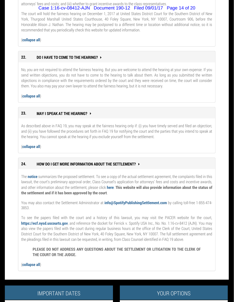attorneys' fees and costs; and (iii) whether to grant incentive awards to the class representatives. Case 1:16-cv-08412-AJN Document 190-12 Filed 09/01/17 Page 14 of 20

The court will hold the fairness hearing on December 1, 2017 at United States District Court for the Southern District of New York, Thurgood Marshall United States Courthouse, 40 Foley Square, New York, NY 10007, Courtroom 906, before the Honorable Alison J. Nathan. The hearing may be postponed to a different time or location without additional notice, so it is recommended that you periodically check this website for updated information.

#### (**collapse all**)

#### **22. DO I HAVE TO COME TO THE HEARING?**

No, you are not required to attend the fairness hearing. But you are welcome to attend the hearing at your own expense. If you send written objections, you do not have to come to the hearing to talk about them. As long as you submitted the written objections in compliance with the requirements ordered by the court and they were received on time, the court will consider them. You also may pay your own lawyer to attend the fairness hearing, but it is not necessary.

(**collapse all**)

#### **23. MAY I SPEAK AT THE HEARING?**

As described above in FAQ 19, you may speak at the fairness hearing only if: (i) you have timely served and filed an objection; and (ii) you have followed the procedures set forth in FAQ 19 for notifying the court and the parties that you intend to speak at the hearing. You cannot speak at the hearing if you exclude yourself from the settlement.

(**collapse all**)

#### **24. HOW DO I GET MORE INFORMATION ABOUT THE SETTLEMENT?**

The **[notice](http://frk.gcg-dev.net/docs/LFN.pdf)** summarizes the proposed settlement. To see a copy of the actual settlement agreement, the complaints filed in this lawsuit, the court's preliminary approval order, Class Counsel's application for attorneys' fees and costs and incentive awards, and other information about the settlement, please click **[here](http://frk.gcg-dev.net/courtdocs.php)**. **This website will also provide information about the status of the settlement and if it has been approved by the court**.

You may also contact the Settlement Administrator at **[info@SpotifyPublishingSettlement.com](mailto:info@SpotifyPublishingSettlement.com)** by calling toll-free 1-855-474- 3853.

To see the papers filed with the court and a history of this lawsuit, you may visit the PACER website for the court, **[https://ecf.nysd.uscourts.gov](https://ecf.nysd.uscourts.gov/)**, and reference the docket for Ferrick v. Spotify USA Inc., No. No. 1:16-cv-8412 (AJN). You may also view the papers filed with the court during regular business hours at the office of the Clerk of the Court, United States District Court for the Southern District of New York, 40 Foley Square, New York, NY 10007. The full settlement agreement and the pleadings filed in this lawsuit can be requested, in writing, from Class Counsel identified in FAQ 19 above.

**PLEASE DO NOT ADDRESS ANY QUESTIONS ABOUT THE SETTLEMENT OR LITIGATION TO THE CLERK OF THE COURT OR THE JUDGE.**

(**collapse all**)

IMPORTANT DATES **The CONTRACT OF STATE OF A SET OF STATES**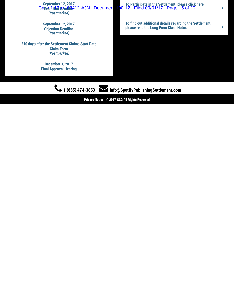| (Postmarked)                                                                         | September 12, 2017<br>Canticipate in the Settlement, please click here.<br>Canticipate in the Settlement, please click here.<br>Canticipate in the Settlement, please click here. |  |
|--------------------------------------------------------------------------------------|-----------------------------------------------------------------------------------------------------------------------------------------------------------------------------------|--|
| <b>September 12, 2017</b><br><b>Objection Deadline</b><br>(Postmarked)               | To find out additional details regarding the Settlement,<br>please read the Long Form Class Notice.                                                                               |  |
| 210 days after the Settlement Claims Start Date<br><b>Claim Form</b><br>(Postmarked) |                                                                                                                                                                                   |  |
| <b>December 1, 2017</b><br><b>Final Approval Hearing</b>                             |                                                                                                                                                                                   |  |
| 1 (855) 474-3853<br>info@SpotifyPublishingSettlement.com                             |                                                                                                                                                                                   |  |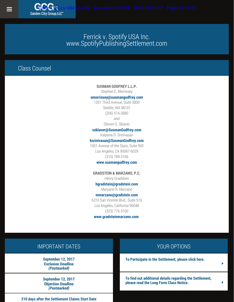## Class Counsel

**Garden City Group LLC"** 

#### **SUSMAN GODFREY L.L.P.**

Stephen E. Morrissey

#### **[smorrissey@susmangodfrey.com](mailto:smorrissey@susmangodfrey.com)**

1201 Third Avenue, Suite 3800 Seattle, WA 98101 (206) 516-3880 and Steven G. Sklaver

#### **[ssklaver@SusmanGodfrey.com](mailto:ssklaver@SusmanGodfrey.com)**

Kalpana D. Srinivasan

#### **[ksrinivasan@SusmanGodfrey.com](mailto:ksrinivasan@SusmanGodfrey.com)**

1901 Avenue of the Stars, Suite 950 Los Angeles, CA 90067-6029 (310) 789-3106

#### **[www.susmangodfrey.com](http://www.susmangodfrey.com/)**

**GRADSTEIN & MARZANO, P.C.** Henry Gradstein

#### **[hgradstein@gradstein.com](mailto:hgradstein@gradstein.com)**

Maryann R. Marzano

#### **[mmarzano@gradstein.com](mailto:mmarzano@gradstein.com)**

6310 San Vicente Blvd., Suite 510 Los Angeles, California 90048 (323) 776-3100

**[www.gradsteinmarzano.com](http://www.gradsteinmarzano.com/)**

### IMPORTANT DATES

**September 12, 2017 Exclusion Deadline** *(Postmarked)*

**September 12, 2017 Objection Deadline** *(Postmarked)*

#### **210 days after the Settlement Claims Start Date**

#### YOUR OPTIONS

**[To Participate in the Settlement, please click here.](http://www.spotifypublishingsettlement.com/poc)**

**[To find out additional details regarding the Settlement,](http://www.spotifypublishingsettlement.com/notice) [please read the Long Form Class Notice.](http://www.spotifypublishingsettlement.com/notice)**  $\rightarrow$ 

[Ý](http://www.spotifypublishingsettlement.com/poc)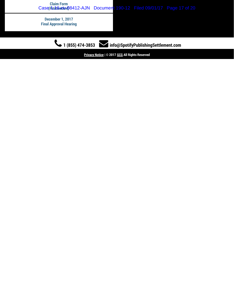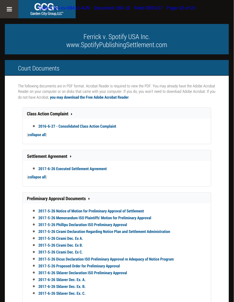### Court Documents

The following documents are in PDF format. Acrobat Reader is required to view the PDF. You may already have the Adobe Acrobat Reader on your computer or on disks that came with your computer. If you do, you won't need to download Adobe Acrobat. If you do not have Acrobat, **[you may download the Free Adobe Acrobat Reader](http://www.adobe.com/products/acrobat/readstep2.html)**.

**Class Action Complaint** 

**[2016-6-27 - Consolidated Class Action Complaint](http://frk.gcg-dev.net/docs/Lowery Consolidated Complaint (with Exhibits).pdf)**

(**collapse all**)

**Settlement Agreement** 

**[2017-6-26 Executed Settlement Agreement](http://frk.gcg-dev.net/docs/SA/Declaration of S. Sklaver - Exhibit C.pdf)**

(**collapse all**)

#### **Preliminary Approval Documents**

- $\bullet$ **[2017-5-26 Notice of Motion for Preliminary Approval of Settlement](http://frk.gcg-dev.net/docs/PAD/2017-5-26 Notice of Motion for Preliminary Approval of Settlement.pdf)**
- **[2017-5-26 Memorandum ISO Plaintiffs' Motion for Preliminary Approval](http://frk.gcg-dev.net/docs/PAD/2017-5-26 Memorandum ISO Plaintiffs)**  $\bullet$
- $\bullet$ **[2017-5-26 Phillips Declaration ISO Preliminary Approval](http://frk.gcg-dev.net/docs/PAD/2017-5-26 Phillips Declaration ISO Preliminary Approval.pdf)**
- **[2017-5-26 Cirami Declaration Regarding Notice Plan and Settlement Administration](http://frk.gcg-dev.net/docs/PAD/2017-5-26 Cirami Declaration Regarding Notice Plan and Settlement Administration.pdf)**  $\bullet$
- $\bullet$ **[2017-5-26 Cirami Dec. Ex A.](http://frk.gcg-dev.net/docs/PAD/2017-5-26 Cirami Dec. Ex A.pdf)**
- **[2017-5-26 Cirami Dec. Ex B.](http://frk.gcg-dev.net/docs/PAD/2017-5-26 Cirami Dec. Ex B.pdf)**  $\bullet$
- **[2017-5-26 Cirami Dec. Ex C.](http://frk.gcg-dev.net/docs/PAD/2017-5-26 Cirami Dec. Ex C.pdf)**  $\bullet$
- **[2017-5-26 Dicus Declaration ISO Preliminary Approval re Adequacy of Notice Program](http://frk.gcg-dev.net/docs/PAD/2017-5-26 Dicus Declaration ISO Preliminary Approval re Adequacy of Notice Program.pdf)**  $\bullet$
- $\bullet$ **[2017-5-26 Proposed Order for Preliminary Approval](http://frk.gcg-dev.net/docs/PAD/2017-5-26 Proposed Order for Preliminary Approval.pdf)**
- $\bullet$ **[2017-6-26 Sklaver Declaration ISO Preliminary Approval](http://frk.gcg-dev.net/docs/PAD/2017-6-26 Declaration of S. Sklaver.pdf)**
- **[2017-6-26 Sklaver Dec. Ex. A.](http://frk.gcg-dev.net/docs/PAD/2017-6-26 Declaration of S. Sklaver  Exhibit A.pdf)**
- **[2017-6-26 Sklaver Dec. Ex. B.](http://frk.gcg-dev.net/docs/PAD/2017-6-26 Declaration of S. Sklaver  Exhibit B.pdf)**
- **[2017-6-26 Sklaver Dec. Ex. C.](http://frk.gcg-dev.net/docs/PAD/2017-6-26 Declaration of S. Sklaver  Exhibit C.pdf)**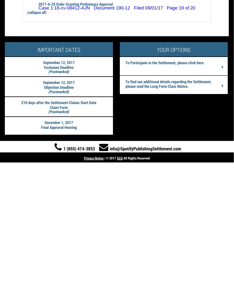**[2017-6-29 Order Granting Preliminary Approval](http://frk.gcg-dev.net/docs/PAD/2017-6-29 Order Granting Preliminary Approval.pdf)** (**collapse all**) Case 1:16-cv-08412-AJN Document 190-12 Filed 09/01/17 Page 19 of 20

| <b>IMPORTANT DATES</b>                                                               | YOUR OPTIONS                                                                                             |  |
|--------------------------------------------------------------------------------------|----------------------------------------------------------------------------------------------------------|--|
| <b>September 12, 2017</b><br><b>Exclusion Deadline</b><br>(Postmarked)               | To Participate in the Settlement, please click here.<br>ь                                                |  |
| <b>September 12, 2017</b><br><b>Objection Deadline</b><br>(Postmarked)               | To find out additional details regarding the Settlement,<br>please read the Long Form Class Notice.<br>Þ |  |
| 210 days after the Settlement Claims Start Date<br><b>Claim Form</b><br>(Postmarked) |                                                                                                          |  |
| <b>December 1, 2017</b><br><b>Final Approval Hearing</b>                             |                                                                                                          |  |
| $(855)$ 474-3853<br>Info@SpotifyPublishingSettlement.com                             |                                                                                                          |  |